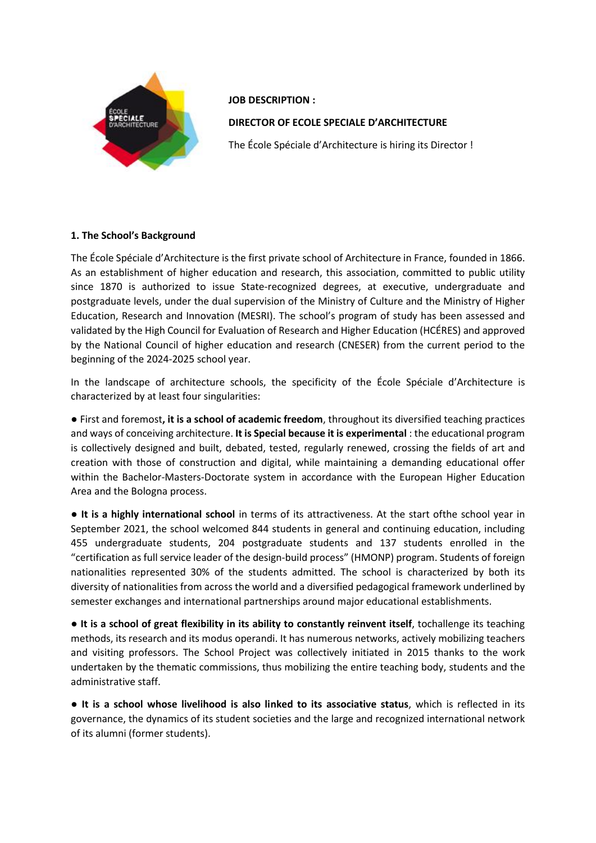

**JOB DESCRIPTION :**

**DIRECTOR OF ECOLE SPECIALE D'ARCHITECTURE**

The École Spéciale d'Architecture is hiring its Director !

## **1. The School's Background**

The École Spéciale d'Architecture is the first private school of Architecture in France, founded in 1866. As an establishment of higher education and research, this association, committed to public utility since 1870 is authorized to issue State-recognized degrees, at executive, undergraduate and postgraduate levels, under the dual supervision of the Ministry of Culture and the Ministry of Higher Education, Research and Innovation (MESRI). The school's program of study has been assessed and validated by the High Council for Evaluation of Research and Higher Education (HCÉRES) and approved by the National Council of higher education and research (CNESER) from the current period to the beginning of the 2024-2025 school year.

In the landscape of architecture schools, the specificity of the École Spéciale d'Architecture is characterized by at least four singularities:

● First and foremost**, it is a school of academic freedom**, throughout its diversified teaching practices and ways of conceiving architecture. **It is Special because it is experimental** : the educational program is collectively designed and built, debated, tested, regularly renewed, crossing the fields of art and creation with those of construction and digital, while maintaining a demanding educational offer within the Bachelor-Masters-Doctorate system in accordance with the European Higher Education Area and the Bologna process.

● **It is a highly international school** in terms of its attractiveness. At the start ofthe school year in September 2021, the school welcomed 844 students in general and continuing education, including 455 undergraduate students, 204 postgraduate students and 137 students enrolled in the "certification as full service leader of the design-build process" (HMONP) program. Students of foreign nationalities represented 30% of the students admitted. The school is characterized by both its diversity of nationalities from across the world and a diversified pedagogical framework underlined by semester exchanges and international partnerships around major educational establishments.

● **It is a school of great flexibility in its ability to constantly reinvent itself**, tochallenge its teaching methods, its research and its modus operandi. It has numerous networks, actively mobilizing teachers and visiting professors. The School Project was collectively initiated in 2015 thanks to the work undertaken by the thematic commissions, thus mobilizing the entire teaching body, students and the administrative staff.

● **It is a school whose livelihood is also linked to its associative status**, which is reflected in its governance, the dynamics of its student societies and the large and recognized international network of its alumni (former students).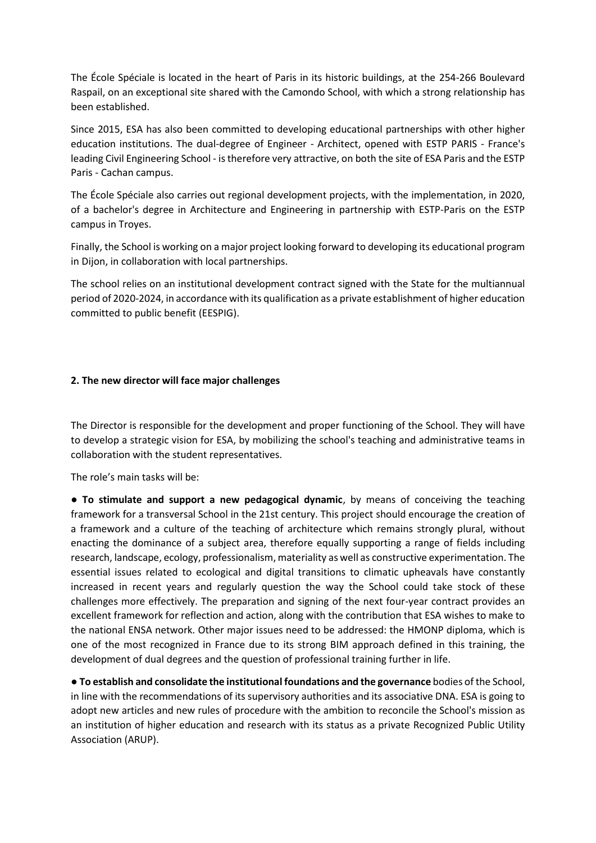The École Spéciale is located in the heart of Paris in its historic buildings, at the 254-266 Boulevard Raspail, on an exceptional site shared with the Camondo School, with which a strong relationship has been established.

Since 2015, ESA has also been committed to developing educational partnerships with other higher education institutions. The dual-degree of Engineer - Architect, opened with ESTP PARIS - France's leading Civil Engineering School - is therefore very attractive, on both the site of ESA Paris and the ESTP Paris - Cachan campus.

The École Spéciale also carries out regional development projects, with the implementation, in 2020, of a bachelor's degree in Architecture and Engineering in partnership with ESTP-Paris on the ESTP campus in Troyes.

Finally, the School is working on a major project looking forward to developing its educational program in Dijon, in collaboration with local partnerships.

The school relies on an institutional development contract signed with the State for the multiannual period of 2020-2024, in accordance with its qualification as a private establishment of higher education committed to public benefit (EESPIG).

## **2. The new director will face major challenges**

The Director is responsible for the development and proper functioning of the School. They will have to develop a strategic vision for ESA, by mobilizing the school's teaching and administrative teams in collaboration with the student representatives.

The role's main tasks will be:

● **To stimulate and support a new pedagogical dynamic**, by means of conceiving the teaching framework for a transversal School in the 21st century. This project should encourage the creation of a framework and a culture of the teaching of architecture which remains strongly plural, without enacting the dominance of a subject area, therefore equally supporting a range of fields including research, landscape, ecology, professionalism, materiality as well as constructive experimentation. The essential issues related to ecological and digital transitions to climatic upheavals have constantly increased in recent years and regularly question the way the School could take stock of these challenges more effectively. The preparation and signing of the next four-year contract provides an excellent framework for reflection and action, along with the contribution that ESA wishes to make to the national ENSA network. Other major issues need to be addressed: the HMONP diploma, which is one of the most recognized in France due to its strong BIM approach defined in this training, the development of dual degrees and the question of professional training further in life.

● **To establish and consolidate the institutional foundations and the governance** bodies of the School, in line with the recommendations of its supervisory authorities and its associative DNA. ESA is going to adopt new articles and new rules of procedure with the ambition to reconcile the School's mission as an institution of higher education and research with its status as a private Recognized Public Utility Association (ARUP).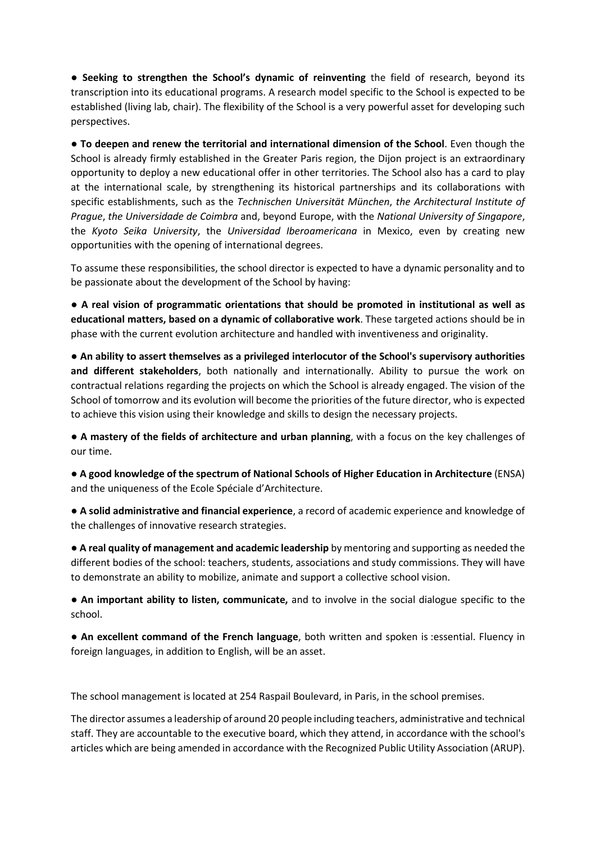● **Seeking to strengthen the School's dynamic of reinventing** the field of research, beyond its transcription into its educational programs. A research model specific to the School is expected to be established (living lab, chair). The flexibility of the School is a very powerful asset for developing such perspectives.

● **To deepen and renew the territorial and international dimension of the School**. Even though the School is already firmly established in the Greater Paris region, the Dijon project is an extraordinary opportunity to deploy a new educational offer in other territories. The School also has a card to play at the international scale, by strengthening its historical partnerships and its collaborations with specific establishments, such as the *Technischen Universität München*, *the Architectural Institute of Prague*, *the Universidade de Coimbra* and, beyond Europe, with the *National University of Singapore*, the *Kyoto Seika University*, the *Universidad Iberoamericana* in Mexico, even by creating new opportunities with the opening of international degrees.

To assume these responsibilities, the school director is expected to have a dynamic personality and to be passionate about the development of the School by having:

● **A real vision of programmatic orientations that should be promoted in institutional as well as educational matters, based on a dynamic of collaborative work**. These targeted actions should be in phase with the current evolution architecture and handled with inventiveness and originality.

● **An ability to assert themselves as a privileged interlocutor of the School's supervisory authorities and different stakeholders**, both nationally and internationally. Ability to pursue the work on contractual relations regarding the projects on which the School is already engaged. The vision of the School of tomorrow and its evolution will become the priorities of the future director, who is expected to achieve this vision using their knowledge and skills to design the necessary projects.

**● A mastery of the fields of architecture and urban planning**, with a focus on the key challenges of our time.

● **A good knowledge of the spectrum of National Schools of Higher Education in Architecture** (ENSA) and the uniqueness of the Ecole Spéciale d'Architecture.

● **A solid administrative and financial experience**, a record of academic experience and knowledge of the challenges of innovative research strategies.

● **A real quality of management and academic leadership** by mentoring and supporting as needed the different bodies of the school: teachers, students, associations and study commissions. They will have to demonstrate an ability to mobilize, animate and support a collective school vision.

● **An important ability to listen, communicate,** and to involve in the social dialogue specific to the school.

● **An excellent command of the French language**, both written and spoken is :essential. Fluency in foreign languages, in addition to English, will be an asset.

The school management is located at 254 Raspail Boulevard, in Paris, in the school premises.

The director assumes a leadership of around 20 people including teachers, administrative and technical staff. They are accountable to the executive board, which they attend, in accordance with the school's articles which are being amended in accordance with the Recognized Public Utility Association (ARUP).